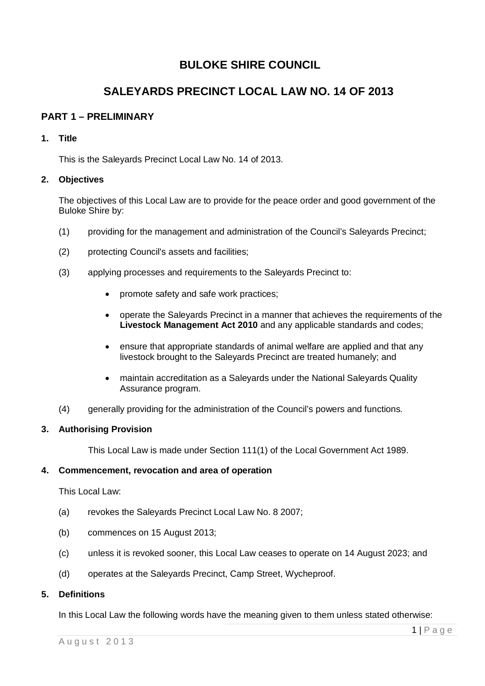# **BULOKE SHIRE COUNCIL**

# **SALEYARDS PRECINCT LOCAL LAW NO. 14 OF 2013**

# **PART 1 – PRELIMINARY**

# **1. Title**

This is the Saleyards Precinct Local Law No. 14 of 2013.

# **2. Objectives**

The objectives of this Local Law are to provide for the peace order and good government of the Buloke Shire by:

- (1) providing for the management and administration of the Council's Saleyards Precinct;
- (2) protecting Council's assets and facilities;
- (3) applying processes and requirements to the Saleyards Precinct to:
	- promote safety and safe work practices;
	- operate the Saleyards Precinct in a manner that achieves the requirements of the **Livestock Management Act 2010** and any applicable standards and codes;
	- ensure that appropriate standards of animal welfare are applied and that any livestock brought to the Saleyards Precinct are treated humanely; and
	- maintain accreditation as a Saleyards under the National Saleyards Quality Assurance program.
- (4) generally providing for the administration of the Council's powers and functions.

## **3. Authorising Provision**

This Local Law is made under Section 111(1) of the Local Government Act 1989.

## **4. Commencement, revocation and area of operation**

This Local Law:

- (a) revokes the Saleyards Precinct Local Law No. 8 2007;
- (b) commences on 15 August 2013;
- (c) unless it is revoked sooner, this Local Law ceases to operate on 14 August 2023; and
- (d) operates at the Saleyards Precinct, Camp Street, Wycheproof.

## **5. Definitions**

In this Local Law the following words have the meaning given to them unless stated otherwise: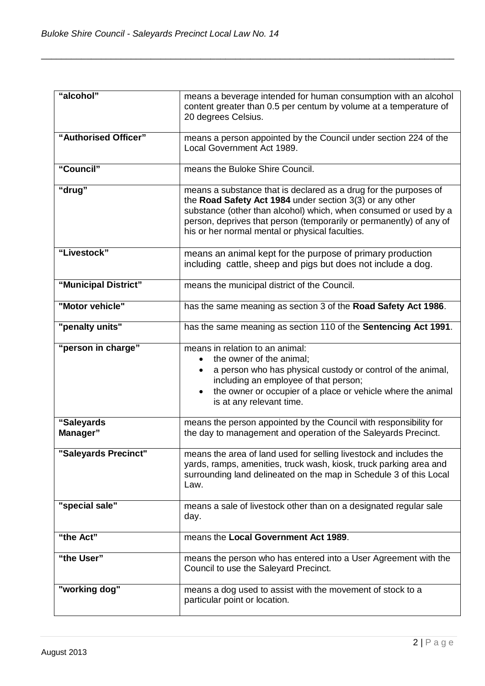| "alcohol"              | means a beverage intended for human consumption with an alcohol<br>content greater than 0.5 per centum by volume at a temperature of<br>20 degrees Celsius.                                                                                                                                                                |
|------------------------|----------------------------------------------------------------------------------------------------------------------------------------------------------------------------------------------------------------------------------------------------------------------------------------------------------------------------|
| "Authorised Officer"   | means a person appointed by the Council under section 224 of the<br>Local Government Act 1989.                                                                                                                                                                                                                             |
| "Council"              | means the Buloke Shire Council.                                                                                                                                                                                                                                                                                            |
| "drug"                 | means a substance that is declared as a drug for the purposes of<br>the Road Safety Act 1984 under section 3(3) or any other<br>substance (other than alcohol) which, when consumed or used by a<br>person, deprives that person (temporarily or permanently) of any of<br>his or her normal mental or physical faculties. |
| "Livestock"            | means an animal kept for the purpose of primary production<br>including cattle, sheep and pigs but does not include a dog.                                                                                                                                                                                                 |
| "Municipal District"   | means the municipal district of the Council.                                                                                                                                                                                                                                                                               |
| "Motor vehicle"        | has the same meaning as section 3 of the Road Safety Act 1986.                                                                                                                                                                                                                                                             |
| "penalty units"        | has the same meaning as section 110 of the Sentencing Act 1991.                                                                                                                                                                                                                                                            |
| "person in charge"     | means in relation to an animal:<br>the owner of the animal;<br>a person who has physical custody or control of the animal,<br>including an employee of that person;<br>the owner or occupier of a place or vehicle where the animal<br>is at any relevant time.                                                            |
| "Saleyards<br>Manager" | means the person appointed by the Council with responsibility for<br>the day to management and operation of the Saleyards Precinct.                                                                                                                                                                                        |
| "Saleyards Precinct"   | means the area of land used for selling livestock and includes the<br>yards, ramps, amenities, truck wash, kiosk, truck parking area and<br>surrounding land delineated on the map in Schedule 3 of this Local<br>Law.                                                                                                     |
| "special sale"         | means a sale of livestock other than on a designated regular sale<br>day.                                                                                                                                                                                                                                                  |
| "the Act"              | means the Local Government Act 1989.                                                                                                                                                                                                                                                                                       |
| "the User"             | means the person who has entered into a User Agreement with the<br>Council to use the Saleyard Precinct.                                                                                                                                                                                                                   |
| "working dog"          | means a dog used to assist with the movement of stock to a<br>particular point or location.                                                                                                                                                                                                                                |

\_\_\_\_\_\_\_\_\_\_\_\_\_\_\_\_\_\_\_\_\_\_\_\_\_\_\_\_\_\_\_\_\_\_\_\_\_\_\_\_\_\_\_\_\_\_\_\_\_\_\_\_\_\_\_\_\_\_\_\_\_\_\_\_\_\_\_\_\_\_\_\_\_\_\_\_\_\_\_\_\_\_\_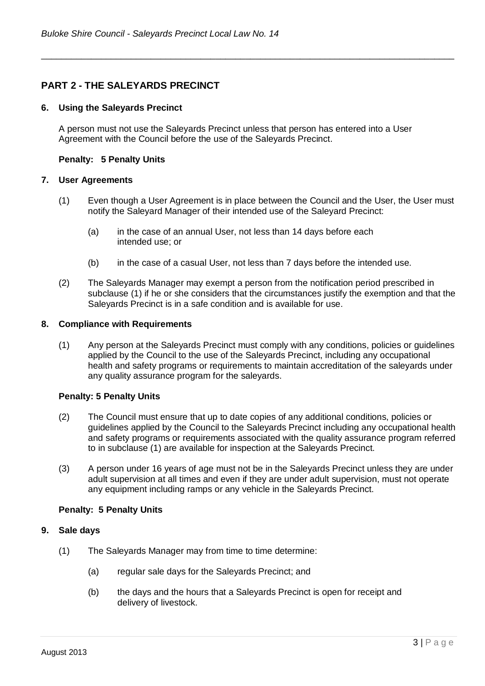# **PART 2 - THE SALEYARDS PRECINCT**

#### **6. Using the Saleyards Precinct**

A person must not use the Saleyards Precinct unless that person has entered into a User Agreement with the Council before the use of the Saleyards Precinct.

\_\_\_\_\_\_\_\_\_\_\_\_\_\_\_\_\_\_\_\_\_\_\_\_\_\_\_\_\_\_\_\_\_\_\_\_\_\_\_\_\_\_\_\_\_\_\_\_\_\_\_\_\_\_\_\_\_\_\_\_\_\_\_\_\_\_\_\_\_\_\_\_\_\_\_\_\_\_\_\_\_\_\_

#### **Penalty: 5 Penalty Units**

#### **7. User Agreements**

- (1) Even though a User Agreement is in place between the Council and the User, the User must notify the Saleyard Manager of their intended use of the Saleyard Precinct:
	- (a) in the case of an annual User, not less than 14 days before each intended use; or
	- (b) in the case of a casual User, not less than 7 days before the intended use.
- (2) The Saleyards Manager may exempt a person from the notification period prescribed in subclause (1) if he or she considers that the circumstances justify the exemption and that the Saleyards Precinct is in a safe condition and is available for use.

#### **8. Compliance with Requirements**

 (1) Any person at the Saleyards Precinct must comply with any conditions, policies or guidelines applied by the Council to the use of the Saleyards Precinct, including any occupational health and safety programs or requirements to maintain accreditation of the saleyards under any quality assurance program for the saleyards.

#### **Penalty: 5 Penalty Units**

- (2) The Council must ensure that up to date copies of any additional conditions, policies or guidelines applied by the Council to the Saleyards Precinct including any occupational health and safety programs or requirements associated with the quality assurance program referred to in subclause (1) are available for inspection at the Saleyards Precinct.
- (3) A person under 16 years of age must not be in the Saleyards Precinct unless they are under adult supervision at all times and even if they are under adult supervision, must not operate any equipment including ramps or any vehicle in the Saleyards Precinct.

#### **Penalty: 5 Penalty Units**

#### **9. Sale days**

- (1) The Saleyards Manager may from time to time determine:
	- (a) regular sale days for the Saleyards Precinct; and
	- (b) the days and the hours that a Saleyards Precinct is open for receipt and delivery of livestock.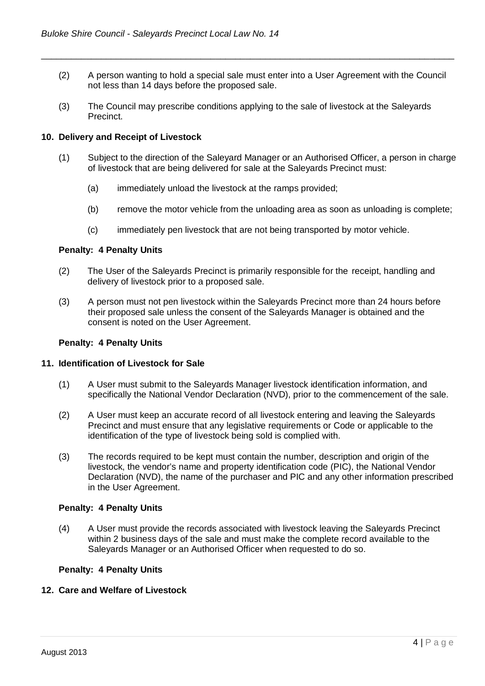(2) A person wanting to hold a special sale must enter into a User Agreement with the Council not less than 14 days before the proposed sale.

\_\_\_\_\_\_\_\_\_\_\_\_\_\_\_\_\_\_\_\_\_\_\_\_\_\_\_\_\_\_\_\_\_\_\_\_\_\_\_\_\_\_\_\_\_\_\_\_\_\_\_\_\_\_\_\_\_\_\_\_\_\_\_\_\_\_\_\_\_\_\_\_\_\_\_\_\_\_\_\_\_\_\_

(3) The Council may prescribe conditions applying to the sale of livestock at the Saleyards Precinct.

#### **10. Delivery and Receipt of Livestock**

- (1) Subject to the direction of the Saleyard Manager or an Authorised Officer, a person in charge of livestock that are being delivered for sale at the Saleyards Precinct must:
	- (a) immediately unload the livestock at the ramps provided;
	- (b) remove the motor vehicle from the unloading area as soon as unloading is complete;
	- (c) immediately pen livestock that are not being transported by motor vehicle.

#### **Penalty: 4 Penalty Units**

- (2) The User of the Saleyards Precinct is primarily responsible for the receipt, handling and delivery of livestock prior to a proposed sale.
- (3) A person must not pen livestock within the Saleyards Precinct more than 24 hours before their proposed sale unless the consent of the Saleyards Manager is obtained and the consent is noted on the User Agreement.

#### **Penalty: 4 Penalty Units**

#### **11. Identification of Livestock for Sale**

- (1) A User must submit to the Saleyards Manager livestock identification information, and specifically the National Vendor Declaration (NVD), prior to the commencement of the sale.
- (2) A User must keep an accurate record of all livestock entering and leaving the Saleyards Precinct and must ensure that any legislative requirements or Code or applicable to the identification of the type of livestock being sold is complied with.
- (3) The records required to be kept must contain the number, description and origin of the livestock, the vendor's name and property identification code (PIC), the National Vendor Declaration (NVD), the name of the purchaser and PIC and any other information prescribed in the User Agreement.

#### **Penalty: 4 Penalty Units**

(4) A User must provide the records associated with livestock leaving the Saleyards Precinct within 2 business days of the sale and must make the complete record available to the Saleyards Manager or an Authorised Officer when requested to do so.

#### **Penalty: 4 Penalty Units**

#### **12. Care and Welfare of Livestock**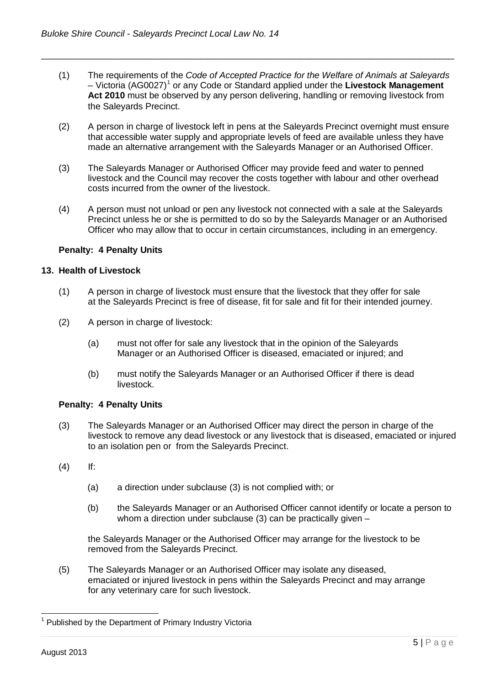(1) The requirements of the *Code of Accepted Practice for the Welfare of Animals at Saleyards* – Victoria (AG0027)[1](#page-4-0) or any Code or Standard applied under the **Livestock Management Act 2010** must be observed by any person delivering, handling or removing livestock from the Saleyards Precinct.

\_\_\_\_\_\_\_\_\_\_\_\_\_\_\_\_\_\_\_\_\_\_\_\_\_\_\_\_\_\_\_\_\_\_\_\_\_\_\_\_\_\_\_\_\_\_\_\_\_\_\_\_\_\_\_\_\_\_\_\_\_\_\_\_\_\_\_\_\_\_\_\_\_\_\_\_\_\_\_\_\_\_\_

- (2) A person in charge of livestock left in pens at the Saleyards Precinct overnight must ensure that accessible water supply and appropriate levels of feed are available unless they have made an alternative arrangement with the Saleyards Manager or an Authorised Officer.
- (3) The Saleyards Manager or Authorised Officer may provide feed and water to penned livestock and the Council may recover the costs together with labour and other overhead costs incurred from the owner of the livestock.
- (4) A person must not unload or pen any livestock not connected with a sale at the Saleyards Precinct unless he or she is permitted to do so by the Saleyards Manager or an Authorised Officer who may allow that to occur in certain circumstances, including in an emergency.

## **Penalty: 4 Penalty Units**

#### **13. Health of Livestock**

- (1) A person in charge of livestock must ensure that the livestock that they offer for sale at the Saleyards Precinct is free of disease, fit for sale and fit for their intended journey.
- (2) A person in charge of livestock:
	- (a) must not offer for sale any livestock that in the opinion of the Saleyards Manager or an Authorised Officer is diseased, emaciated or injured; and
	- (b) must notify the Saleyards Manager or an Authorised Officer if there is dead livestock.

## **Penalty: 4 Penalty Units**

- (3) The Saleyards Manager or an Authorised Officer may direct the person in charge of the livestock to remove any dead livestock or any livestock that is diseased, emaciated or injured to an isolation pen or from the Saleyards Precinct.
- (4) If:
	- (a) a direction under subclause (3) is not complied with; or
	- (b) the Saleyards Manager or an Authorised Officer cannot identify or locate a person to whom a direction under subclause (3) can be practically given –

the Saleyards Manager or the Authorised Officer may arrange for the livestock to be removed from the Saleyards Precinct.

(5) The Saleyards Manager or an Authorised Officer may isolate any diseased, emaciated or injured livestock in pens within the Saleyards Precinct and may arrange for any veterinary care for such livestock.

<span id="page-4-0"></span> $\overline{a}$ 1 Published by the Department of Primary Industry Victoria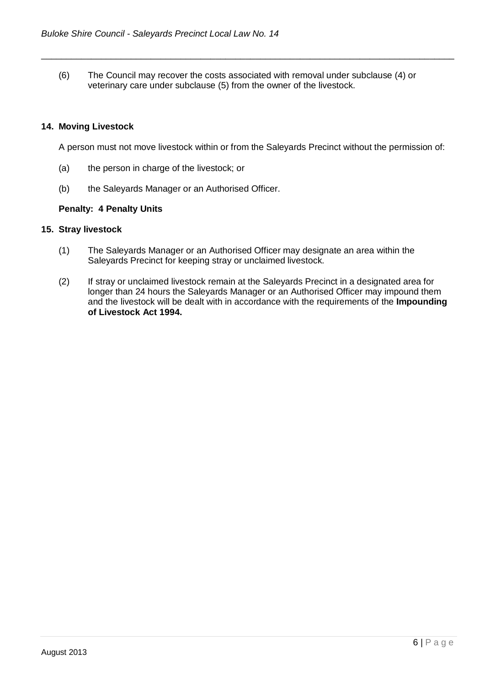(6) The Council may recover the costs associated with removal under subclause (4) or veterinary care under subclause (5) from the owner of the livestock.

\_\_\_\_\_\_\_\_\_\_\_\_\_\_\_\_\_\_\_\_\_\_\_\_\_\_\_\_\_\_\_\_\_\_\_\_\_\_\_\_\_\_\_\_\_\_\_\_\_\_\_\_\_\_\_\_\_\_\_\_\_\_\_\_\_\_\_\_\_\_\_\_\_\_\_\_\_\_\_\_\_\_\_

## **14. Moving Livestock**

A person must not move livestock within or from the Saleyards Precinct without the permission of:

- (a) the person in charge of the livestock; or
- (b) the Saleyards Manager or an Authorised Officer.

#### **Penalty: 4 Penalty Units**

## **15. Stray livestock**

- (1) The Saleyards Manager or an Authorised Officer may designate an area within the Saleyards Precinct for keeping stray or unclaimed livestock.
- (2) If stray or unclaimed livestock remain at the Saleyards Precinct in a designated area for longer than 24 hours the Saleyards Manager or an Authorised Officer may impound them and the livestock will be dealt with in accordance with the requirements of the **Impounding of Livestock Act 1994.**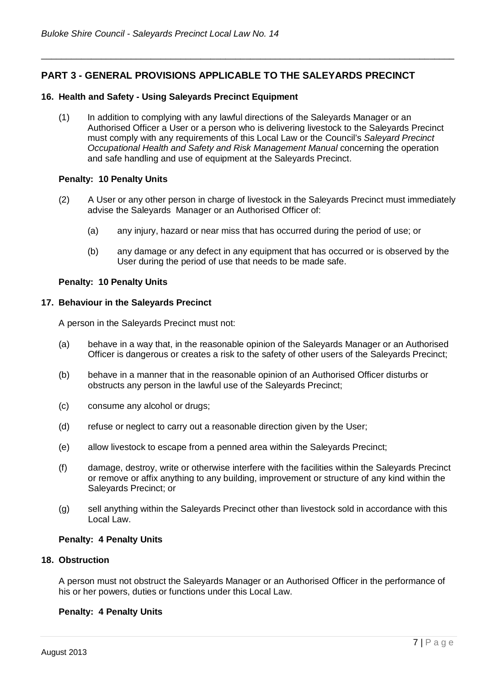# **PART 3 - GENERAL PROVISIONS APPLICABLE TO THE SALEYARDS PRECINCT**

#### **16. Health and Safety - Using Saleyards Precinct Equipment**

(1) In addition to complying with any lawful directions of the Saleyards Manager or an Authorised Officer a User or a person who is delivering livestock to the Saleyards Precinct must comply with any requirements of this Local Law or the Council's *Saleyard Precinct Occupational Health and Safety and Risk Management Manual* concerning the operation and safe handling and use of equipment at the Saleyards Precinct.

\_\_\_\_\_\_\_\_\_\_\_\_\_\_\_\_\_\_\_\_\_\_\_\_\_\_\_\_\_\_\_\_\_\_\_\_\_\_\_\_\_\_\_\_\_\_\_\_\_\_\_\_\_\_\_\_\_\_\_\_\_\_\_\_\_\_\_\_\_\_\_\_\_\_\_\_\_\_\_\_\_\_\_

#### **Penalty: 10 Penalty Units**

- (2) A User or any other person in charge of livestock in the Saleyards Precinct must immediately advise the Saleyards Manager or an Authorised Officer of:
	- (a) any injury, hazard or near miss that has occurred during the period of use; or
	- (b) any damage or any defect in any equipment that has occurred or is observed by the User during the period of use that needs to be made safe.

#### **Penalty: 10 Penalty Units**

#### **17. Behaviour in the Saleyards Precinct**

A person in the Saleyards Precinct must not:

- (a) behave in a way that, in the reasonable opinion of the Saleyards Manager or an Authorised Officer is dangerous or creates a risk to the safety of other users of the Saleyards Precinct;
- (b) behave in a manner that in the reasonable opinion of an Authorised Officer disturbs or obstructs any person in the lawful use of the Saleyards Precinct;
- (c) consume any alcohol or drugs;
- (d) refuse or neglect to carry out a reasonable direction given by the User;
- (e) allow livestock to escape from a penned area within the Saleyards Precinct;
- (f) damage, destroy, write or otherwise interfere with the facilities within the Saleyards Precinct or remove or affix anything to any building, improvement or structure of any kind within the Saleyards Precinct; or
- (g) sell anything within the Saleyards Precinct other than livestock sold in accordance with this Local Law.

#### **Penalty: 4 Penalty Units**

#### **18. Obstruction**

A person must not obstruct the Saleyards Manager or an Authorised Officer in the performance of his or her powers, duties or functions under this Local Law.

## **Penalty: 4 Penalty Units**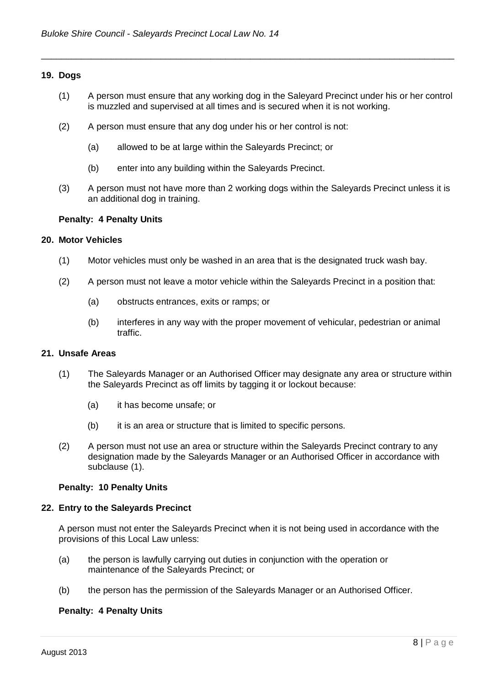#### **19. Dogs**

(1) A person must ensure that any working dog in the Saleyard Precinct under his or her control is muzzled and supervised at all times and is secured when it is not working.

\_\_\_\_\_\_\_\_\_\_\_\_\_\_\_\_\_\_\_\_\_\_\_\_\_\_\_\_\_\_\_\_\_\_\_\_\_\_\_\_\_\_\_\_\_\_\_\_\_\_\_\_\_\_\_\_\_\_\_\_\_\_\_\_\_\_\_\_\_\_\_\_\_\_\_\_\_\_\_\_\_\_\_

- (2) A person must ensure that any dog under his or her control is not:
	- (a) allowed to be at large within the Saleyards Precinct; or
	- (b) enter into any building within the Saleyards Precinct.
- (3) A person must not have more than 2 working dogs within the Saleyards Precinct unless it is an additional dog in training.

#### **Penalty: 4 Penalty Units**

#### **20. Motor Vehicles**

- (1) Motor vehicles must only be washed in an area that is the designated truck wash bay.
- (2) A person must not leave a motor vehicle within the Saleyards Precinct in a position that:
	- (a) obstructs entrances, exits or ramps; or
	- (b) interferes in any way with the proper movement of vehicular, pedestrian or animal traffic.

#### **21. Unsafe Areas**

- (1) The Saleyards Manager or an Authorised Officer may designate any area or structure within the Saleyards Precinct as off limits by tagging it or lockout because:
	- (a) it has become unsafe; or
	- (b) it is an area or structure that is limited to specific persons.
- (2) A person must not use an area or structure within the Saleyards Precinct contrary to any designation made by the Saleyards Manager or an Authorised Officer in accordance with subclause (1).

#### **Penalty: 10 Penalty Units**

#### **22. Entry to the Saleyards Precinct**

A person must not enter the Saleyards Precinct when it is not being used in accordance with the provisions of this Local Law unless:

- (a) the person is lawfully carrying out duties in conjunction with the operation or maintenance of the Saleyards Precinct; or
- (b) the person has the permission of the Saleyards Manager or an Authorised Officer.

#### **Penalty: 4 Penalty Units**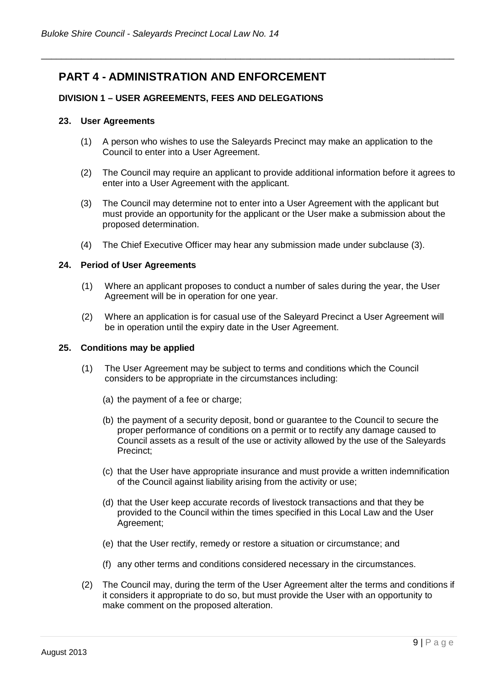# **PART 4 - ADMINISTRATION AND ENFORCEMENT**

# **DIVISION 1 – USER AGREEMENTS, FEES AND DELEGATIONS**

## **23.****User Agreements**

(1) A person who wishes to use the Saleyards Precinct may make an application to the Council to enter into a User Agreement.

\_\_\_\_\_\_\_\_\_\_\_\_\_\_\_\_\_\_\_\_\_\_\_\_\_\_\_\_\_\_\_\_\_\_\_\_\_\_\_\_\_\_\_\_\_\_\_\_\_\_\_\_\_\_\_\_\_\_\_\_\_\_\_\_\_\_\_\_\_\_\_\_\_\_\_\_\_\_\_\_\_\_\_

- (2) The Council may require an applicant to provide additional information before it agrees to enter into a User Agreement with the applicant.
- (3) The Council may determine not to enter into a User Agreement with the applicant but must provide an opportunity for the applicant or the User make a submission about the proposed determination.
- (4) The Chief Executive Officer may hear any submission made under subclause (3).

#### **24. Period of User Agreements**

- (1) Where an applicant proposes to conduct a number of sales during the year, the User Agreement will be in operation for one year.
- (2) Where an application is for casual use of the Saleyard Precinct a User Agreement will be in operation until the expiry date in the User Agreement.

#### **25. Conditions may be applied**

- (1) The User Agreement may be subject to terms and conditions which the Council considers to be appropriate in the circumstances including:
	- (a) the payment of a fee or charge;
	- (b) the payment of a security deposit, bond or guarantee to the Council to secure the proper performance of conditions on a permit or to rectify any damage caused to Council assets as a result of the use or activity allowed by the use of the Saleyards Precinct;
	- (c) that the User have appropriate insurance and must provide a written indemnification of the Council against liability arising from the activity or use;
	- (d) that the User keep accurate records of livestock transactions and that they be provided to the Council within the times specified in this Local Law and the User Agreement;
	- (e) that the User rectify, remedy or restore a situation or circumstance; and
	- (f) any other terms and conditions considered necessary in the circumstances.
- (2) The Council may, during the term of the User Agreement alter the terms and conditions if it considers it appropriate to do so, but must provide the User with an opportunity to make comment on the proposed alteration.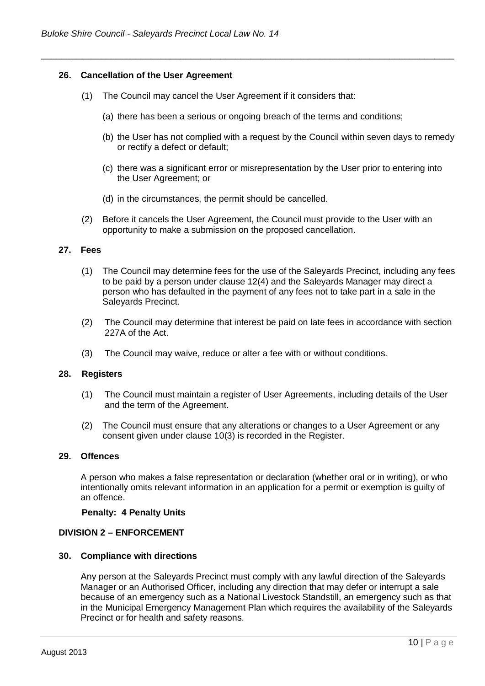#### **26. Cancellation of the User Agreement**

- (1) The Council may cancel the User Agreement if it considers that:
	- (a) there has been a serious or ongoing breach of the terms and conditions;

\_\_\_\_\_\_\_\_\_\_\_\_\_\_\_\_\_\_\_\_\_\_\_\_\_\_\_\_\_\_\_\_\_\_\_\_\_\_\_\_\_\_\_\_\_\_\_\_\_\_\_\_\_\_\_\_\_\_\_\_\_\_\_\_\_\_\_\_\_\_\_\_\_\_\_\_\_\_\_\_\_\_\_

- (b) the User has not complied with a request by the Council within seven days to remedy or rectify a defect or default;
- (c) there was a significant error or misrepresentation by the User prior to entering into the User Agreement; or
- (d) in the circumstances, the permit should be cancelled.
- (2) Before it cancels the User Agreement, the Council must provide to the User with an opportunity to make a submission on the proposed cancellation.

#### **27. Fees**

- (1) The Council may determine fees for the use of the Saleyards Precinct, including any fees to be paid by a person under clause 12(4) and the Saleyards Manager may direct a person who has defaulted in the payment of any fees not to take part in a sale in the Saleyards Precinct.
- (2) The Council may determine that interest be paid on late fees in accordance with section 227A of the Act.
- (3) The Council may waive, reduce or alter a fee with or without conditions.

#### **28. Registers**

- (1) The Council must maintain a register of User Agreements, including details of the User and the term of the Agreement.
- (2) The Council must ensure that any alterations or changes to a User Agreement or any consent given under clause 10(3) is recorded in the Register.

#### **29. Offences**

A person who makes a false representation or declaration (whether oral or in writing), or who intentionally omits relevant information in an application for a permit or exemption is guilty of an offence.

#### **Penalty: 4 Penalty Units**

#### **DIVISION 2 – ENFORCEMENT**

#### **30. Compliance with directions**

Any person at the Saleyards Precinct must comply with any lawful direction of the Saleyards Manager or an Authorised Officer, including any direction that may defer or interrupt a sale because of an emergency such as a National Livestock Standstill, an emergency such as that in the Municipal Emergency Management Plan which requires the availability of the Saleyards Precinct or for health and safety reasons.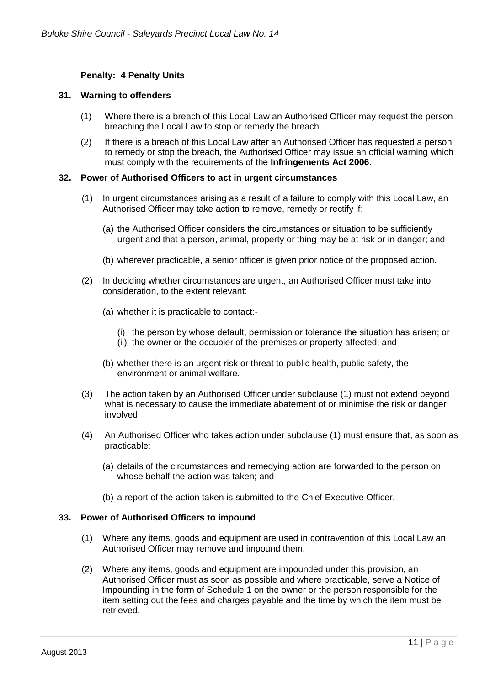## **Penalty: 4 Penalty Units**

## **31. Warning to offenders**

(1) Where there is a breach of this Local Law an Authorised Officer may request the person breaching the Local Law to stop or remedy the breach.

\_\_\_\_\_\_\_\_\_\_\_\_\_\_\_\_\_\_\_\_\_\_\_\_\_\_\_\_\_\_\_\_\_\_\_\_\_\_\_\_\_\_\_\_\_\_\_\_\_\_\_\_\_\_\_\_\_\_\_\_\_\_\_\_\_\_\_\_\_\_\_\_\_\_\_\_\_\_\_\_\_\_\_

(2) If there is a breach of this Local Law after an Authorised Officer has requested a person to remedy or stop the breach, the Authorised Officer may issue an official warning which must comply with the requirements of the **Infringements Act 2006**.

#### **32. Power of Authorised Officers to act in urgent circumstances**

- (1) In urgent circumstances arising as a result of a failure to comply with this Local Law, an Authorised Officer may take action to remove, remedy or rectify if:
	- (a) the Authorised Officer considers the circumstances or situation to be sufficiently urgent and that a person, animal, property or thing may be at risk or in danger; and
	- (b) wherever practicable, a senior officer is given prior notice of the proposed action.
- (2) In deciding whether circumstances are urgent, an Authorised Officer must take into consideration, to the extent relevant:
	- (a) whether it is practicable to contact:-
		- (i) the person by whose default, permission or tolerance the situation has arisen; or
		- (ii) the owner or the occupier of the premises or property affected; and
	- (b) whether there is an urgent risk or threat to public health, public safety, the environment or animal welfare.
- (3) The action taken by an Authorised Officer under subclause (1) must not extend beyond what is necessary to cause the immediate abatement of or minimise the risk or danger involved.
- (4) An Authorised Officer who takes action under subclause (1) must ensure that, as soon as practicable:
	- (a) details of the circumstances and remedying action are forwarded to the person on whose behalf the action was taken; and
	- (b) a report of the action taken is submitted to the Chief Executive Officer.

#### **33. Power of Authorised Officers to impound**

- (1) Where any items, goods and equipment are used in contravention of this Local Law an Authorised Officer may remove and impound them.
- (2) Where any items, goods and equipment are impounded under this provision, an Authorised Officer must as soon as possible and where practicable, serve a Notice of Impounding in the form of Schedule 1 on the owner or the person responsible for the item setting out the fees and charges payable and the time by which the item must be retrieved.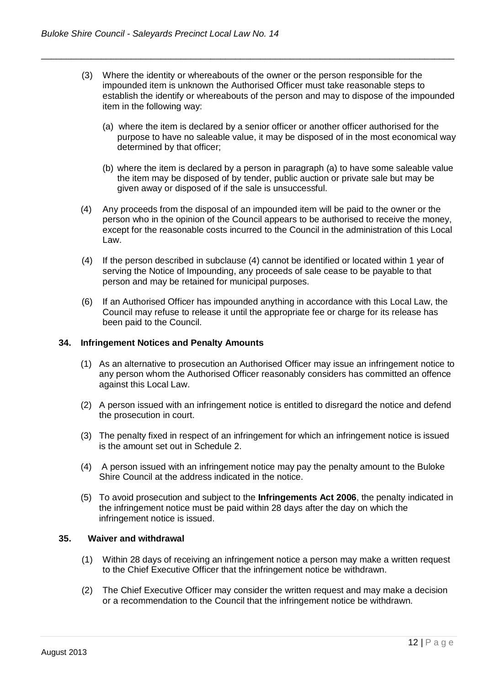(3) Where the identity or whereabouts of the owner or the person responsible for the impounded item is unknown the Authorised Officer must take reasonable steps to establish the identify or whereabouts of the person and may to dispose of the impounded item in the following way:

\_\_\_\_\_\_\_\_\_\_\_\_\_\_\_\_\_\_\_\_\_\_\_\_\_\_\_\_\_\_\_\_\_\_\_\_\_\_\_\_\_\_\_\_\_\_\_\_\_\_\_\_\_\_\_\_\_\_\_\_\_\_\_\_\_\_\_\_\_\_\_\_\_\_\_\_\_\_\_\_\_\_\_

- (a) where the item is declared by a senior officer or another officer authorised for the purpose to have no saleable value, it may be disposed of in the most economical way determined by that officer;
- (b) where the item is declared by a person in paragraph (a) to have some saleable value the item may be disposed of by tender, public auction or private sale but may be given away or disposed of if the sale is unsuccessful.
- (4) Any proceeds from the disposal of an impounded item will be paid to the owner or the person who in the opinion of the Council appears to be authorised to receive the money, except for the reasonable costs incurred to the Council in the administration of this Local Law.
- (4) If the person described in subclause (4) cannot be identified or located within 1 year of serving the Notice of Impounding, any proceeds of sale cease to be payable to that person and may be retained for municipal purposes.
- (6) If an Authorised Officer has impounded anything in accordance with this Local Law, the Council may refuse to release it until the appropriate fee or charge for its release has been paid to the Council.

## **34. Infringement Notices and Penalty Amounts**

- (1) As an alternative to prosecution an Authorised Officer may issue an infringement notice to any person whom the Authorised Officer reasonably considers has committed an offence against this Local Law.
- (2) A person issued with an infringement notice is entitled to disregard the notice and defend the prosecution in court.
- (3) The penalty fixed in respect of an infringement for which an infringement notice is issued is the amount set out in Schedule 2.
- (4) A person issued with an infringement notice may pay the penalty amount to the Buloke Shire Council at the address indicated in the notice.
- (5) To avoid prosecution and subject to the **Infringements Act 2006**, the penalty indicated in the infringement notice must be paid within 28 days after the day on which the infringement notice is issued.

#### **35. Waiver and withdrawal**

- (1) Within 28 days of receiving an infringement notice a person may make a written request to the Chief Executive Officer that the infringement notice be withdrawn.
- (2) The Chief Executive Officer may consider the written request and may make a decision or a recommendation to the Council that the infringement notice be withdrawn.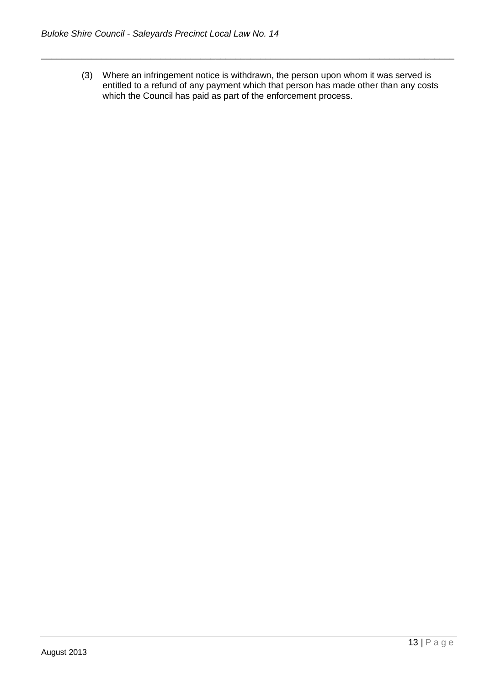(3) Where an infringement notice is withdrawn, the person upon whom it was served is entitled to a refund of any payment which that person has made other than any costs which the Council has paid as part of the enforcement process.

\_\_\_\_\_\_\_\_\_\_\_\_\_\_\_\_\_\_\_\_\_\_\_\_\_\_\_\_\_\_\_\_\_\_\_\_\_\_\_\_\_\_\_\_\_\_\_\_\_\_\_\_\_\_\_\_\_\_\_\_\_\_\_\_\_\_\_\_\_\_\_\_\_\_\_\_\_\_\_\_\_\_\_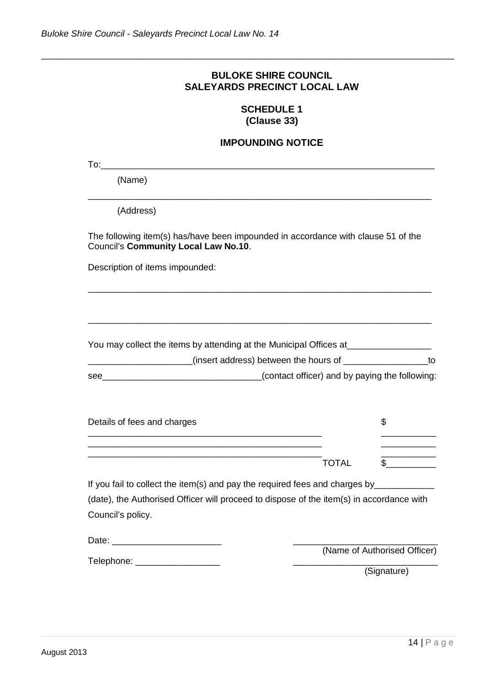# **BULOKE SHIRE COUNCIL SALEYARDS PRECINCT LOCAL LAW**

\_\_\_\_\_\_\_\_\_\_\_\_\_\_\_\_\_\_\_\_\_\_\_\_\_\_\_\_\_\_\_\_\_\_\_\_\_\_\_\_\_\_\_\_\_\_\_\_\_\_\_\_\_\_\_\_\_\_\_\_\_\_\_\_\_\_\_\_\_\_\_\_\_\_\_\_\_\_\_\_\_\_\_

# **SCHEDULE 1 (Clause 33)**

# **IMPOUNDING NOTICE**

| To:                                                                                                                              |                                                                                |                                |
|----------------------------------------------------------------------------------------------------------------------------------|--------------------------------------------------------------------------------|--------------------------------|
| (Name)                                                                                                                           |                                                                                |                                |
| (Address)                                                                                                                        |                                                                                |                                |
| The following item(s) has/have been impounded in accordance with clause 51 of the<br><b>Council's Community Local Law No.10.</b> |                                                                                |                                |
| Description of items impounded:                                                                                                  |                                                                                |                                |
|                                                                                                                                  |                                                                                |                                |
| You may collect the items by attending at the Municipal Offices at______________                                                 |                                                                                |                                |
|                                                                                                                                  | (insert address) between the hours of $\frac{1}{2}$ ________________________to |                                |
| <u> 1989 - Johann Barn, mars ar breithinn ar breithinn ar breithinn ar breithinn ar breithinn ar breithinn ar br</u><br>see      | (contact officer) and by paying the following:                                 |                                |
| Details of fees and charges                                                                                                      |                                                                                | \$<br>$\overline{\phantom{a}}$ |
|                                                                                                                                  |                                                                                |                                |
|                                                                                                                                  | <b>TOTAL</b>                                                                   | $\mathfrak s$                  |
| If you fail to collect the item(s) and pay the required fees and charges by____________                                          |                                                                                |                                |
| (date), the Authorised Officer will proceed to dispose of the item(s) in accordance with                                         |                                                                                |                                |
| Council's policy.                                                                                                                |                                                                                |                                |
|                                                                                                                                  |                                                                                |                                |
| Telephone: ___________________                                                                                                   |                                                                                | (Name of Authorised Officer)   |
|                                                                                                                                  |                                                                                | (Signature)                    |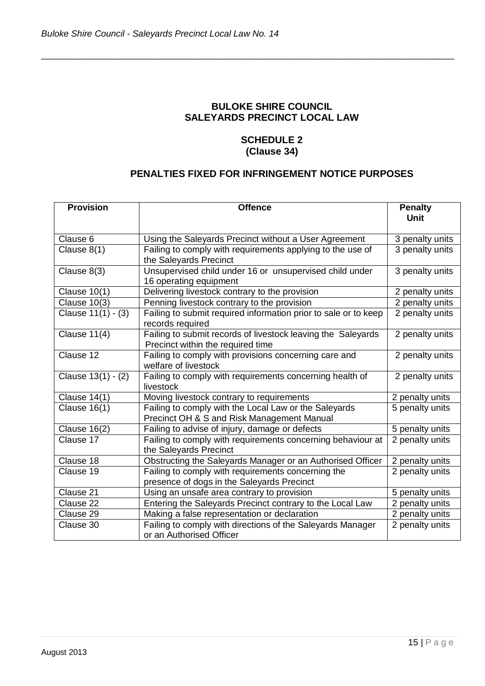# **BULOKE SHIRE COUNCIL SALEYARDS PRECINCT LOCAL LAW**

\_\_\_\_\_\_\_\_\_\_\_\_\_\_\_\_\_\_\_\_\_\_\_\_\_\_\_\_\_\_\_\_\_\_\_\_\_\_\_\_\_\_\_\_\_\_\_\_\_\_\_\_\_\_\_\_\_\_\_\_\_\_\_\_\_\_\_\_\_\_\_\_\_\_\_\_\_\_\_\_\_\_\_

# **SCHEDULE 2 (Clause 34)**

# **PENALTIES FIXED FOR INFRINGEMENT NOTICE PURPOSES**

| <b>Provision</b>    | <b>Offence</b>                                                                                      | <b>Penalty</b>  |
|---------------------|-----------------------------------------------------------------------------------------------------|-----------------|
|                     |                                                                                                     | <b>Unit</b>     |
| Clause 6            | Using the Saleyards Precinct without a User Agreement                                               | 3 penalty units |
| Clause 8(1)         | Failing to comply with requirements applying to the use of<br>the Saleyards Precinct                | 3 penalty units |
| Clause 8(3)         | Unsupervised child under 16 or unsupervised child under<br>16 operating equipment                   | 3 penalty units |
| <b>Clause 10(1)</b> | Delivering livestock contrary to the provision                                                      | 2 penalty units |
| Clause 10(3)        | Penning livestock contrary to the provision                                                         | 2 penalty units |
| Clause 11(1) - (3)  | Failing to submit required information prior to sale or to keep<br>records required                 | 2 penalty units |
| Clause 11(4)        | Failing to submit records of livestock leaving the Saleyards<br>Precinct within the required time   | 2 penalty units |
| Clause 12           | Failing to comply with provisions concerning care and<br>welfare of livestock                       | 2 penalty units |
| Clause 13(1) - (2)  | Failing to comply with requirements concerning health of<br>livestock                               | 2 penalty units |
| <b>Clause 14(1)</b> | Moving livestock contrary to requirements                                                           | 2 penalty units |
| <b>Clause 16(1)</b> | Failing to comply with the Local Law or the Saleyards<br>Precinct OH & S and Risk Management Manual | 5 penalty units |
| <b>Clause 16(2)</b> | Failing to advise of injury, damage or defects                                                      | 5 penalty units |
| Clause 17           | Failing to comply with requirements concerning behaviour at<br>the Saleyards Precinct               | 2 penalty units |
| Clause 18           | Obstructing the Saleyards Manager or an Authorised Officer                                          | 2 penalty units |
| Clause 19           | Failing to comply with requirements concerning the<br>presence of dogs in the Saleyards Precinct    | 2 penalty units |
| Clause 21           | Using an unsafe area contrary to provision                                                          | 5 penalty units |
| Clause 22           | Entering the Saleyards Precinct contrary to the Local Law                                           | 2 penalty units |
| Clause 29           | Making a false representation or declaration                                                        | 2 penalty units |
| Clause 30           | Failing to comply with directions of the Saleyards Manager<br>or an Authorised Officer              | 2 penalty units |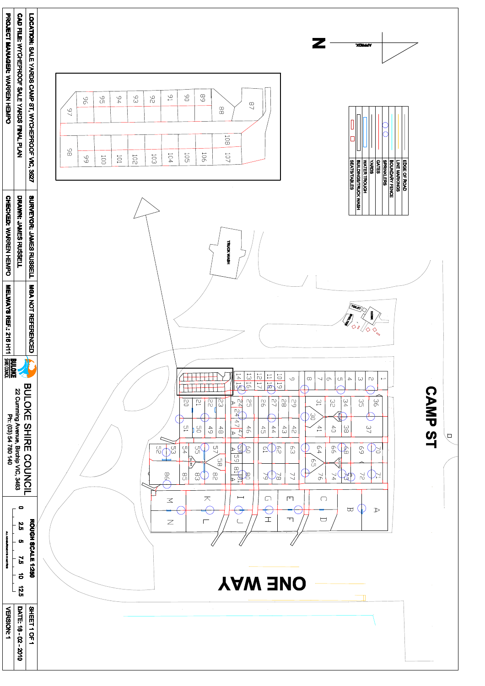| <b>PROJECT MANAGER: V/ARKEN HEMPO</b> | <b>CAD FILE:</b><br><b>NYCHEPROOF</b><br>SALE<br><b>YARDS</b><br><b>FINA</b><br>Ē.<br>곤<br>$\sum$ | LOCATION:<br><b>SALE</b><br><b>YARDS</b><br><b>CAMP</b><br>$ST$ ,<br><b>WYCHEPROOF</b><br>$\sum_{i=1}^{n}$ | $\infty$<br>$\bigcirc$<br>$\mathbb{S}^1$<br>$\circ$<br>$\circlearrowright$<br>$\circlearrowright$<br>$\mathbb{C}$<br>$\circlearrowright$<br>$\sqrt{2}$<br>$\Gamma$<br>$\omega$<br>$\cup$<br>$\overline{\phantom{a}}$<br>$\sigma$<br>$\infty$<br>$\sim$<br>$\infty$<br>$\circlearrowright$<br>$\overline{\phantom{0}}$<br>$\longmapsto$<br>$\begin{array}{c} \bigcirc \\ \bigcirc \end{array}$<br>$\circlearrowright$<br>$\infty$<br>$\overline{\phantom{0}}$<br>$\mapsto$<br>$\bigcup$<br>$\overline{\phantom{0}}$<br>$\overline{\phantom{0}}$<br>$\mapsto$<br>$\bigcirc$<br>$\overline{\phantom{0}}$<br>$\overline{\phantom{0}}$<br>$\frac{0}{2}$<br>$\bigcirc$<br>$\bigcirc$<br>$\qquad \qquad \Box$<br>$\overline{C}$<br>$\bigcirc$<br>$\qquad \qquad \Box$<br>$\bigcup$<br>$\rightarrow$<br>$\searrow$<br>$\omega$<br>$\overline{\phantom{0}}$<br>$\bigcirc$ | <b>XONddV</b><br>$\overline{\phantom{a}}$                                                                                                      |
|---------------------------------------|---------------------------------------------------------------------------------------------------|------------------------------------------------------------------------------------------------------------|------------------------------------------------------------------------------------------------------------------------------------------------------------------------------------------------------------------------------------------------------------------------------------------------------------------------------------------------------------------------------------------------------------------------------------------------------------------------------------------------------------------------------------------------------------------------------------------------------------------------------------------------------------------------------------------------------------------------------------------------------------------------------------------------------------------------------------------------------------------|------------------------------------------------------------------------------------------------------------------------------------------------|
| <b>CHECKED: VARYEN H</b>              | DRAWN: JAMES RUSS                                                                                 | <b>3527</b><br><b>SURVEYOR:</b><br><b>JAMES RU</b>                                                         | $\sim 10^{-1}$<br><b>TRUCK</b>                                                                                                                                                                                                                                                                                                                                                                                                                                                                                                                                                                                                                                                                                                                                                                                                                                   | EDGE OF ROAD<br>LINE MARKINGS<br>BOUNDARY FENCE<br>SPRINKLERS<br>CATES<br>MATER TROUGH<br>BUILDINGS/TRUCK WASH<br>SEATS/TABLES<br>SEATS/TABLES |